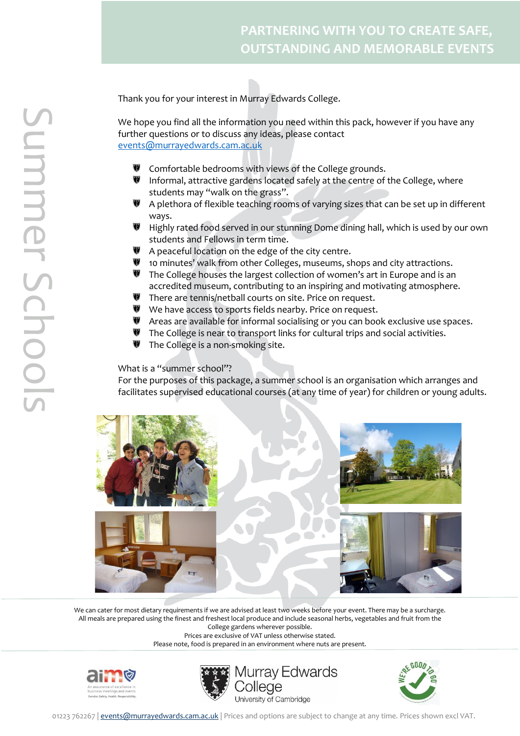Thank you for your interest in Murray Edwards College.

We hope you find all the information you need within this pack, however if you have any further questions or to discuss any ideas, please contact [events@murrayedwards.cam.ac.uk](mailto:events@murrayedwards.cam.ac.uk)

- ₩ Comfortable bedrooms with views of the College grounds.
- **W** Informal, attractive gardens located safely at the centre of the College, where students may "walk on the grass".
- A plethora of flexible teaching rooms of varying sizes that can be set up in different ways.
- Highly rated food served in our stunning Dome dining hall, which is used by our own students and Fellows in term time.
- A peaceful location on the edge of the city centre.
- **10 minutes' walk from other Colleges, museums, shops and city attractions.**
- **W** The College houses the largest collection of women's art in Europe and is an accredited museum, contributing to an inspiring and motivating atmosphere.
- ₩ There are tennis/netball courts on site. Price on request.
- We have access to sports fields nearby. Price on request.
- **W** Areas are available for informal socialising or you can book exclusive use spaces.
- ₩ The College is near to transport links for cultural trips and social activities.
- $\blacksquare$  The College is a non-smoking site.

What is a "summer school"?

For the purposes of this package, a summer school is an organisation which arranges and facilitates supervised educational courses (at any time of year) for children or young adults.



We can cater for most dietary requirements if we are advised at least two weeks before your event. There may be a surcharge. All meals are prepared using the finest and freshest local produce and include seasonal herbs, vegetables and fruit from the College gardens wherever possible.

Prices are exclusive of VAT unless otherwise stated.







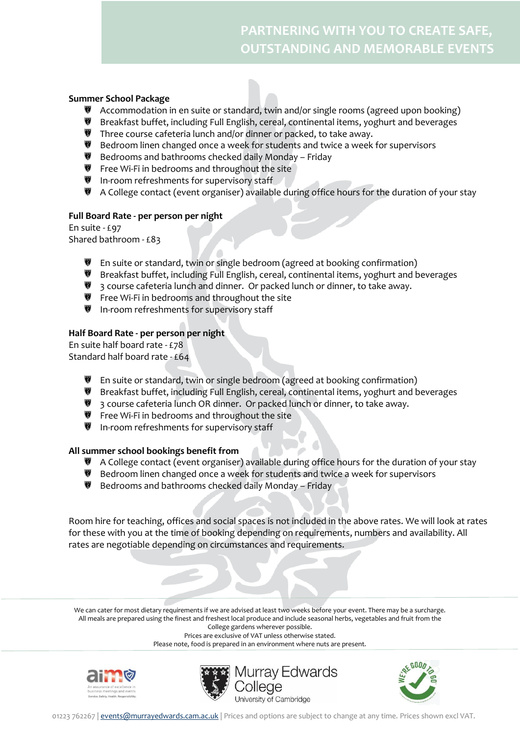## **Summer School Package**

- **W** Accommodation in en suite or standard, twin and/or single rooms (agreed upon booking)
- Breakfast buffet, including Full English, cereal, continental items, yoghurt and beverages
- Three course cafeteria lunch and/or dinner or packed, to take away.
- Bedroom linen changed once a week for students and twice a week for supervisors
- Bedrooms and bathrooms checked daily Monday Friday
- **W** Free Wi-Fi in bedrooms and throughout the site
- In-room refreshments for supervisory staff
- A College contact (event organiser) available during office hours for the duration of your stay

## **Full Board Rate - per person per night**

En suite - £97 Shared bathroom - £83

- En suite or standard, twin or single bedroom (agreed at booking confirmation)
- Breakfast buffet, including Full English, cereal, continental items, yoghurt and beverages
- **3** course cafeteria lunch and dinner. Or packed lunch or dinner, to take away.
- Free Wi-Fi in bedrooms and throughout the site
- In-room refreshments for supervisory staff

## **Half Board Rate - per person per night**

En suite half board rate - £78 Standard half board rate - £64

- **W** En suite or standard, twin or single bedroom (agreed at booking confirmation)
- Breakfast buffet, including Full English, cereal, continental items, yoghurt and beverages
- **3** course cafeteria lunch OR dinner. Or packed lunch or dinner, to take away.
- **Figure 18 Free Wi-Fi in bedrooms and throughout the site**
- In-room refreshments for supervisory staff

## **All summer school bookings benefit from**

- A College contact (event organiser) available during office hours for the duration of your stay
- Bedroom linen changed once a week for students and twice a week for supervisors
- **Bedrooms and bathrooms checked daily Monday Friday**

Room hire for teaching, offices and social spaces is not included in the above rates. We will look at rates for these with you at the time of booking depending on requirements, numbers and availability. All rates are negotiable depending on circumstances and requirements.

We can cater for most dietary requirements if we are advised at least two weeks before your event. There may be a surcharge. All meals are prepared using the finest and freshest local produce and include seasonal herbs, vegetables and fruit from the College gardens wherever possible.

Prices are exclusive of VAT unless otherwise stated.







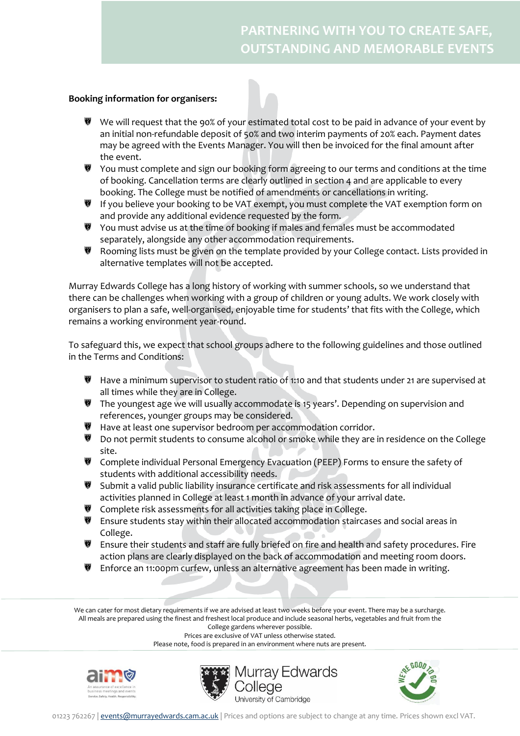## **Booking information for organisers:**

- $\Psi$  We will request that the 90% of your estimated total cost to be paid in advance of your event by an initial non-refundable deposit of 50% and two interim payments of 20% each. Payment dates may be agreed with the Events Manager. You will then be invoiced for the final amount after the event.
- $\P$  You must complete and sign our booking form agreeing to our terms and conditions at the time of booking. Cancellation terms are clearly outlined in section 4 and are applicable to every booking. The College must be notified of amendments or cancellations in writing.
- **W** If you believe your booking to be VAT exempt, you must complete the VAT exemption form on and provide any additional evidence requested by the form.
- You must advise us at the time of booking if males and females must be accommodated separately, alongside any other accommodation requirements.
- ₩ Rooming lists must be given on the template provided by your College contact. Lists provided in alternative templates will not be accepted.

Murray Edwards College has a long history of working with summer schools, so we understand that there can be challenges when working with a group of children or young adults. We work closely with organisers to plan a safe, well-organised, enjoyable time for students' that fits with the College, which remains a working environment year-round.

To safeguard this, we expect that school groups adhere to the following guidelines and those outlined in the Terms and Conditions:

- Have a minimum supervisor to student ratio of 1:10 and that students under 21 are supervised at all times while they are in College.
- The youngest age we will usually accommodate is 15 years'. Depending on supervision and references, younger groups may be considered.
- Have at least one supervisor bedroom per accommodation corridor.
- Do not permit students to consume alcohol or smoke while they are in residence on the College site.
- **W** Complete individual Personal Emergency Evacuation (PEEP) Forms to ensure the safety of students with additional accessibility needs.
- Submit a valid public liability insurance certificate and risk assessments for all individual activities planned in College at least 1 month in advance of your arrival date.
- Complete risk assessments for all activities taking place in College.
- **W** Ensure students stay within their allocated accommodation staircases and social areas in College.
- Ensure their students and staff are fully briefed on fire and health and safety procedures. Fire action plans are clearly displayed on the back of accommodation and meeting room doors.
- Enforce an 11:00pm curfew, unless an alternative agreement has been made in writing.

We can cater for most dietary requirements if we are advised at least two weeks before your event. There may be a surcharge. All meals are prepared using the finest and freshest local produce and include seasonal herbs, vegetables and fruit from the

College gardens wherever possible. Prices are exclusive of VAT unless otherwise stated.







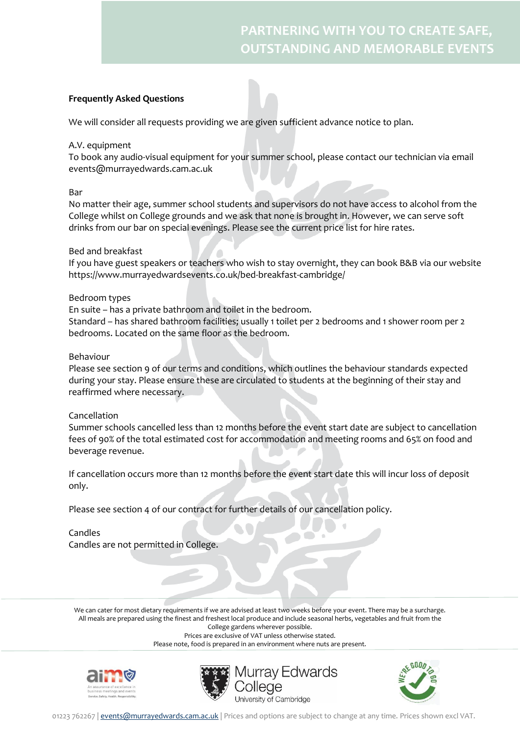## **Frequently Asked Questions**

We will consider all requests providing we are given sufficient advance notice to plan.

#### A.V. equipment

To book any audio-visual equipment for your summer school, please contact our technician via email events@murrayedwards.cam.ac.uk

#### Bar

No matter their age, summer school students and supervisors do not have access to alcohol from the College whilst on College grounds and we ask that none is brought in. However, we can serve soft drinks from our bar on special evenings. Please see the current price list for hire rates.

#### Bed and breakfast

If you have guest speakers or teachers who wish to stay overnight, they can book B&B via our website https://www.murrayedwardsevents.co.uk/bed-breakfast-cambridge/

#### Bedroom types

En suite – has a private bathroom and toilet in the bedroom. Standard – has shared bathroom facilities; usually 1 toilet per 2 bedrooms and 1 shower room per 2 bedrooms. Located on the same floor as the bedroom.

#### Behaviour

Please see section 9 of our terms and conditions, which outlines the behaviour standards expected during your stay. Please ensure these are circulated to students at the beginning of their stay and reaffirmed where necessary.

#### Cancellation

Summer schools cancelled less than 12 months before the event start date are subject to cancellation fees of 90% of the total estimated cost for accommodation and meeting rooms and 65% on food and beverage revenue.

If cancellation occurs more than 12 months before the event start date this will incur loss of deposit only.

Please see section 4 of our contract for further details of our cancellation policy.

Candles Candles are not permitted in College.

We can cater for most dietary requirements if we are advised at least two weeks before your event. There may be a surcharge. All meals are prepared using the finest and freshest local produce and include seasonal herbs, vegetables and fruit from the College gardens wherever possible.

Prices are exclusive of VAT unless otherwise stated.







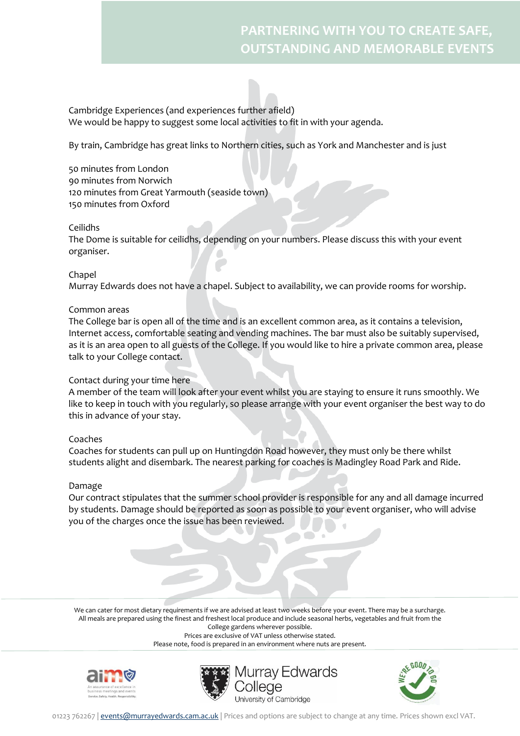Cambridge Experiences (and experiences further afield) We would be happy to suggest some local activities to fit in with your agenda.

By train, Cambridge has great links to Northern cities, such as York and Manchester and is just

50 minutes from London 90 minutes from Norwich 120 minutes from Great Yarmouth (seaside town) 150 minutes from Oxford

## Ceilidhs

The Dome is suitable for ceilidhs, depending on your numbers. Please discuss this with your event organiser.

## Chapel

Murray Edwards does not have a chapel. Subject to availability, we can provide rooms for worship.

## Common areas

The College bar is open all of the time and is an excellent common area, as it contains a television, Internet access, comfortable seating and vending machines. The bar must also be suitably supervised, as it is an area open to all guests of the College. If you would like to hire a private common area, please talk to your College contact.

#### Contact during your time here

A member of the team will look after your event whilst you are staying to ensure it runs smoothly. We like to keep in touch with you regularly, so please arrange with your event organiser the best way to do this in advance of your stay.

#### Coaches

Coaches for students can pull up on Huntingdon Road however, they must only be there whilst students alight and disembark. The nearest parking for coaches is Madingley Road Park and Ride.

#### Damage

Our contract stipulates that the summer school provider is responsible for any and all damage incurred by students. Damage should be reported as soon as possible to your event organiser, who will advise you of the charges once the issue has been reviewed.

We can cater for most dietary requirements if we are advised at least two weeks before your event. There may be a surcharge. All meals are prepared using the finest and freshest local produce and include seasonal herbs, vegetables and fruit from the College gardens wherever possible.

Prices are exclusive of VAT unless otherwise stated.







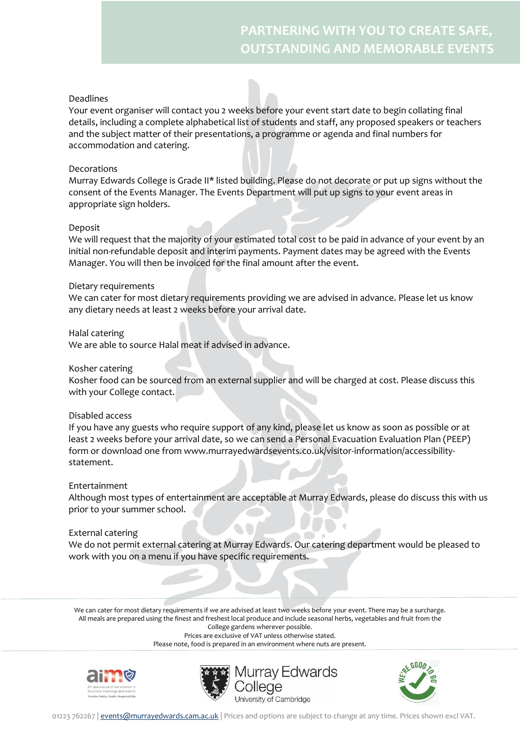### Deadlines

Your event organiser will contact you 2 weeks before your event start date to begin collating final details, including a complete alphabetical list of students and staff, any proposed speakers or teachers and the subject matter of their presentations, a programme or agenda and final numbers for accommodation and catering.

### Decorations

Murray Edwards College is Grade II\* listed building. Please do not decorate or put up signs without the consent of the Events Manager. The Events Department will put up signs to your event areas in appropriate sign holders.

## Deposit

We will request that the majority of your estimated total cost to be paid in advance of your event by an initial non-refundable deposit and interim payments. Payment dates may be agreed with the Events Manager. You will then be invoiced for the final amount after the event.

#### Dietary requirements

We can cater for most dietary requirements providing we are advised in advance. Please let us know any dietary needs at least 2 weeks before your arrival date.

#### Halal catering

We are able to source Halal meat if advised in advance.

#### Kosher catering

Kosher food can be sourced from an external supplier and will be charged at cost. Please discuss this with your College contact.

#### Disabled access

If you have any guests who require support of any kind, please let us know as soon as possible or at least 2 weeks before your arrival date, so we can send a Personal Evacuation Evaluation Plan (PEEP) form or download one from www.murrayedwardsevents.co.uk/visitor-information/accessibilitystatement.

#### Entertainment

Although most types of entertainment are acceptable at Murray Edwards, please do discuss this with us prior to your summer school.

#### External catering

We do not permit external catering at Murray Edwards. Our catering department would be pleased to work with you on a menu if you have specific requirements.

We can cater for most dietary requirements if we are advised at least two weeks before your event. There may be a surcharge. All meals are prepared using the finest and freshest local produce and include seasonal herbs, vegetables and fruit from the College gardens wherever possible.

Prices are exclusive of VAT unless otherwise stated.







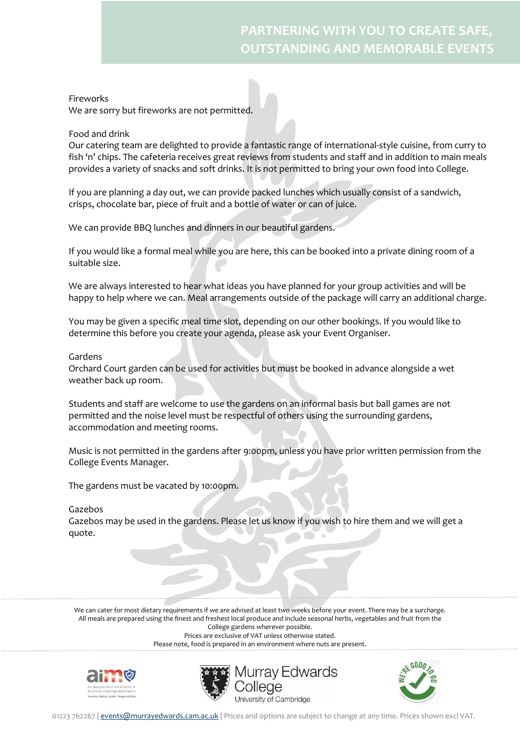## Fireworks

We are sorry but fireworks are not permitted.

## Food and drink

Our catering team are delighted to provide a fantastic range of international-style cuisine, from curry to fish 'n' chips. The cafeteria receives great reviews from students and staff and in addition to main meals provides a variety of snacks and soft drinks. It is not permitted to bring your own food into College.

If you are planning a day out, we can provide packed lunches which usually consist of a sandwich, crisps, chocolate bar, piece of fruit and a bottle of water or can of juice.

We can provide BBQ lunches and dinners in our beautiful gardens.

If you would like a formal meal while you are here, this can be booked into a private dining room of a suitable size.

We are always interested to hear what ideas you have planned for your group activities and will be happy to help where we can. Meal arrangements outside of the package will carry an additional charge.

You may be given a specific meal time slot, depending on our other bookings. If you would like to determine this before you create your agenda, please ask your Event Organiser.

#### Gardens

Orchard Court garden can be used for activities but must be booked in advance alongside a wet weather back up room.

Students and staff are welcome to use the gardens on an informal basis but ball games are not permitted and the noise level must be respectful of others using the surrounding gardens, accommodation and meeting rooms.

Music is not permitted in the gardens after 9:00pm, unless you have prior written permission from the College Events Manager.

The gardens must be vacated by 10:00pm.

#### Gazebos

Gazebos may be used in the gardens. Please let us know if you wish to hire them and we will get a quote.

We can cater for most dietary requirements if we are advised at least two weeks before your event. There may be a surcharge. All meals are prepared using the finest and freshest local produce and include seasonal herbs, vegetables and fruit from the College gardens wherever possible.

Prices are exclusive of VAT unless otherwise stated.







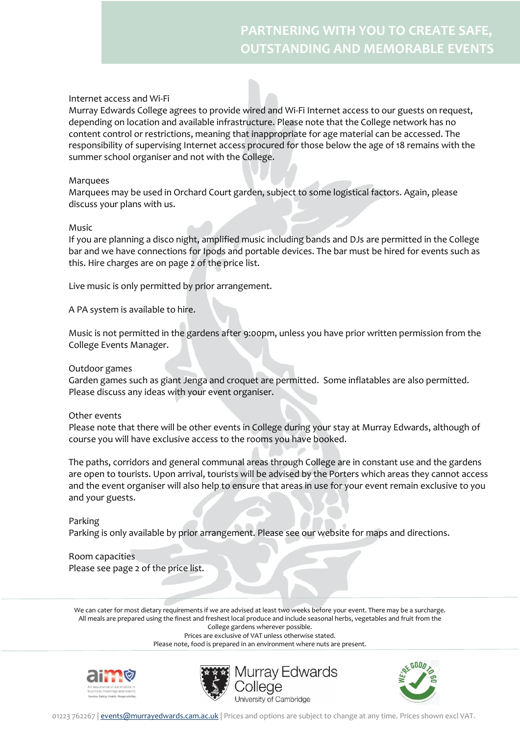## Internet access and Wi-Fi

Murray Edwards College agrees to provide wired and Wi-Fi Internet access to our guests on request, depending on location and available infrastructure. Please note that the College network has no content control or restrictions, meaning that inappropriate for age material can be accessed. The responsibility of supervising Internet access procured for those below the age of 18 remains with the summer school organiser and not with the College.

#### Marquees

Marquees may be used in Orchard Court garden, subject to some logistical factors. Again, please discuss your plans with us.

#### Music

If you are planning a disco night, amplified music including bands and DJs are permitted in the College bar and we have connections for Ipods and portable devices. The bar must be hired for events such as this. Hire charges are on page 2 of the price list.

Live music is only permitted by prior arrangement.

A PA system is available to hire.

Music is not permitted in the gardens after 9:00pm, unless you have prior written permission from the College Events Manager.

#### Outdoor games

Garden games such as giant Jenga and croquet are permitted. Some inflatables are also permitted. Please discuss any ideas with your event organiser.

#### Other events

Please note that there will be other events in College during your stay at Murray Edwards, although of course you will have exclusive access to the rooms you have booked.

The paths, corridors and general communal areas through College are in constant use and the gardens are open to tourists. Upon arrival, tourists will be advised by the Porters which areas they cannot access and the event organiser will also help to ensure that areas in use for your event remain exclusive to you and your guests.

#### Parking

Parking is only available by prior arrangement. Please see our website for maps and directions.

Room capacities Please see page 2 of the price list.

We can cater for most dietary requirements if we are advised at least two weeks before your event. There may be a surcharge. All meals are prepared using the finest and freshest local produce and include seasonal herbs, vegetables and fruit from the College gardens wherever possible.

Prices are exclusive of VAT unless otherwise stated.